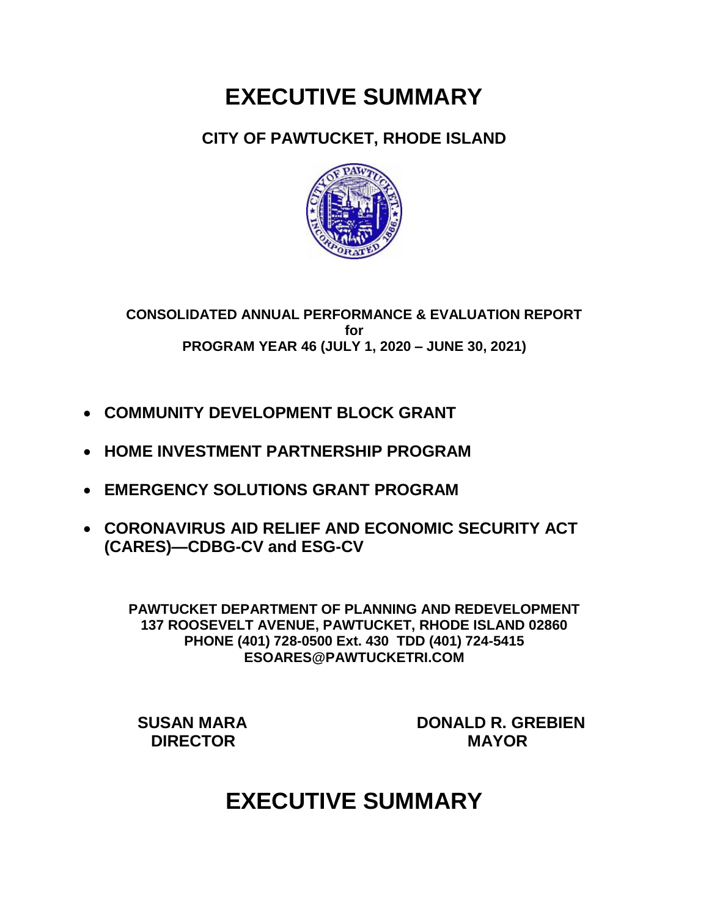# **EXECUTIVE SUMMARY**

### **CITY OF PAWTUCKET, RHODE ISLAND**



**CONSOLIDATED ANNUAL PERFORMANCE & EVALUATION REPORT for PROGRAM YEAR 46 (JULY 1, 2020 – JUNE 30, 2021)**

- **COMMUNITY DEVELOPMENT BLOCK GRANT**
- **HOME INVESTMENT PARTNERSHIP PROGRAM**
- **EMERGENCY SOLUTIONS GRANT PROGRAM**
- **CORONAVIRUS AID RELIEF AND ECONOMIC SECURITY ACT (CARES)—CDBG-CV and ESG-CV**

**PAWTUCKET DEPARTMENT OF PLANNING AND REDEVELOPMENT 137 ROOSEVELT AVENUE, PAWTUCKET, RHODE ISLAND 02860 PHONE (401) 728-0500 Ext. 430 TDD (401) 724-5415 ESOARES@PAWTUCKETRI.COM**

 **SUSAN MARA DONALD R. GREBIEN DIRECTOR MAYOR**

# **EXECUTIVE SUMMARY**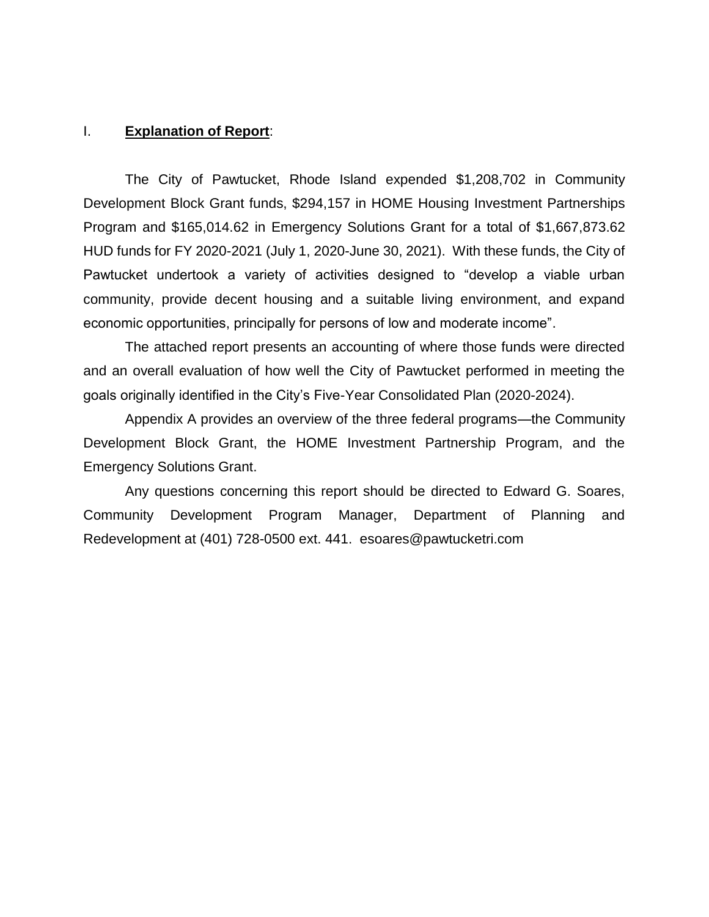#### I. **Explanation of Report**:

The City of Pawtucket, Rhode Island expended \$1,208,702 in Community Development Block Grant funds, \$294,157 in HOME Housing Investment Partnerships Program and \$165,014.62 in Emergency Solutions Grant for a total of \$1,667,873.62 HUD funds for FY 2020-2021 (July 1, 2020-June 30, 2021). With these funds, the City of Pawtucket undertook a variety of activities designed to "develop a viable urban community, provide decent housing and a suitable living environment, and expand economic opportunities, principally for persons of low and moderate income".

The attached report presents an accounting of where those funds were directed and an overall evaluation of how well the City of Pawtucket performed in meeting the goals originally identified in the City's Five-Year Consolidated Plan (2020-2024).

Appendix A provides an overview of the three federal programs—the Community Development Block Grant, the HOME Investment Partnership Program, and the Emergency Solutions Grant.

Any questions concerning this report should be directed to Edward G. Soares, Community Development Program Manager, Department of Planning and Redevelopment at (401) 728-0500 ext. 441. esoares@pawtucketri.com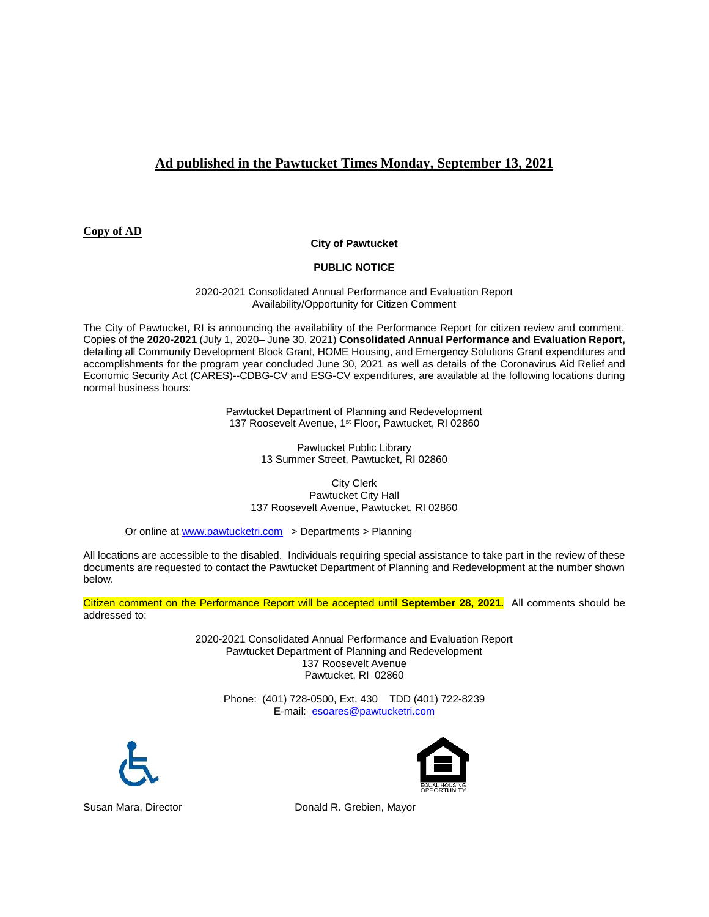### **Ad published in the Pawtucket Times Monday, September 13, 2021**

**Copy of AD**

#### **City of Pawtucket**

#### **PUBLIC NOTICE**

2020-2021 Consolidated Annual Performance and Evaluation Report Availability/Opportunity for Citizen Comment

The City of Pawtucket, RI is announcing the availability of the Performance Report for citizen review and comment. Copies of the **2020-2021** (July 1, 2020– June 30, 2021) **Consolidated Annual Performance and Evaluation Report,**  detailing all Community Development Block Grant, HOME Housing, and Emergency Solutions Grant expenditures and accomplishments for the program year concluded June 30, 2021 as well as details of the Coronavirus Aid Relief and Economic Security Act (CARES)--CDBG-CV and ESG-CV expenditures, are available at the following locations during normal business hours:

> Pawtucket Department of Planning and Redevelopment 137 Roosevelt Avenue, 1<sup>st</sup> Floor, Pawtucket, RI 02860

> > Pawtucket Public Library 13 Summer Street, Pawtucket, RI 02860

City Clerk Pawtucket City Hall 137 Roosevelt Avenue, Pawtucket, RI 02860

Or online at [www.pawtucketri.com](http://www.pawtucketri.com/) > Departments > Planning

All locations are accessible to the disabled. Individuals requiring special assistance to take part in the review of these documents are requested to contact the Pawtucket Department of Planning and Redevelopment at the number shown below.

Citizen comment on the Performance Report will be accepted until **September 28, 2021.** All comments should be addressed to:

> 2020-2021 Consolidated Annual Performance and Evaluation Report Pawtucket Department of Planning and Redevelopment 137 Roosevelt Avenue Pawtucket, RI 02860

Phone: (401) 728-0500, Ext. 430 TDD (401) 722-8239 E-mail: [esoares@pawtucketri.com](mailto:esoares@pawtucketri.com)





Susan Mara, Director **Donald R. Grebien, Mayor**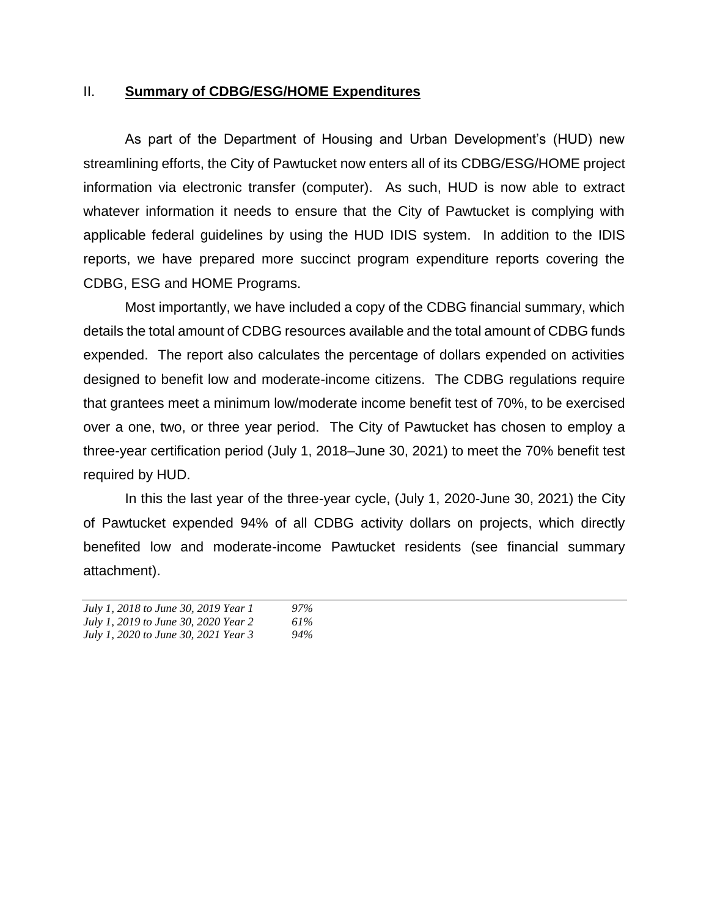### II. **Summary of CDBG/ESG/HOME Expenditures**

As part of the Department of Housing and Urban Development's (HUD) new streamlining efforts, the City of Pawtucket now enters all of its CDBG/ESG/HOME project information via electronic transfer (computer). As such, HUD is now able to extract whatever information it needs to ensure that the City of Pawtucket is complying with applicable federal guidelines by using the HUD IDIS system. In addition to the IDIS reports, we have prepared more succinct program expenditure reports covering the CDBG, ESG and HOME Programs.

Most importantly, we have included a copy of the CDBG financial summary, which details the total amount of CDBG resources available and the total amount of CDBG funds expended. The report also calculates the percentage of dollars expended on activities designed to benefit low and moderate-income citizens. The CDBG regulations require that grantees meet a minimum low/moderate income benefit test of 70%, to be exercised over a one, two, or three year period. The City of Pawtucket has chosen to employ a three-year certification period (July 1, 2018–June 30, 2021) to meet the 70% benefit test required by HUD.

In this the last year of the three-year cycle, (July 1, 2020-June 30, 2021) the City of Pawtucket expended 94% of all CDBG activity dollars on projects, which directly benefited low and moderate-income Pawtucket residents (see financial summary attachment).

| July 1, 2018 to June 30, 2019 Year 1 | $97\%$ |
|--------------------------------------|--------|
| July 1, 2019 to June 30, 2020 Year 2 | 61%    |
| July 1, 2020 to June 30, 2021 Year 3 | $94\%$ |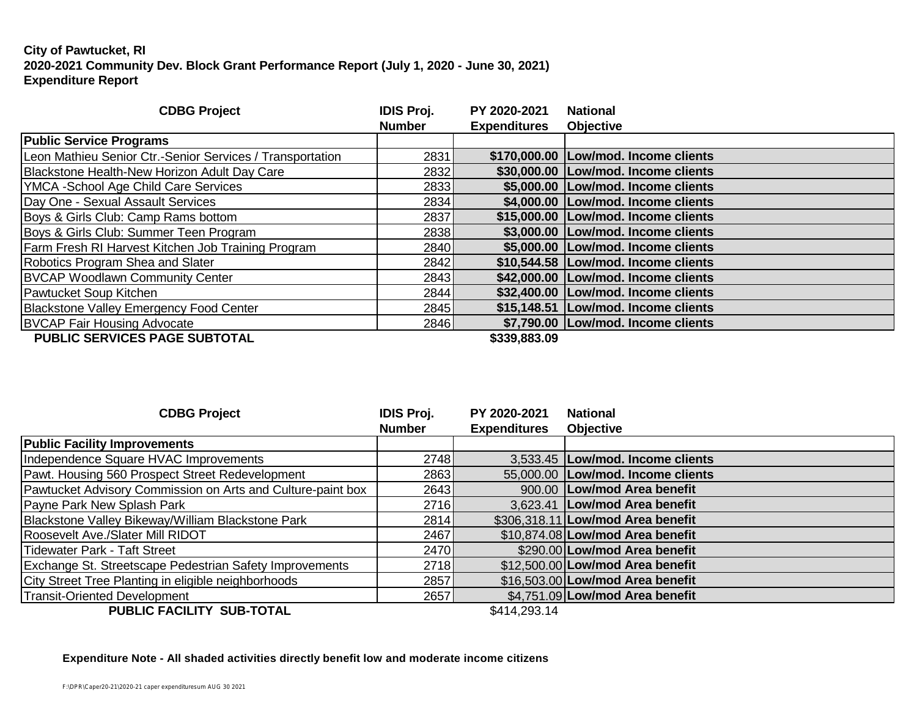#### **City of Pawtucket, RI 2020-2021 Community Dev. Block Grant Performance Report (July 1, 2020 - June 30, 2021) Expenditure Report**

| <b>CDBG Project</b>                                       | <b>IDIS Proj.</b><br><b>Number</b> | PY 2020-2021<br><b>Expenditures</b> | <b>National</b><br><b>Objective</b>   |
|-----------------------------------------------------------|------------------------------------|-------------------------------------|---------------------------------------|
| <b>Public Service Programs</b>                            |                                    |                                     |                                       |
| Leon Mathieu Senior Ctr.-Senior Services / Transportation | 2831                               |                                     | \$170,000.00 Low/mod. Income clients  |
| Blackstone Health-New Horizon Adult Day Care              | 2832                               |                                     | \$30,000.00   Low/mod. Income clients |
| YMCA - School Age Child Care Services                     | 2833                               |                                     | \$5,000.00 Low/mod. Income clients    |
| Day One - Sexual Assault Services                         | 2834                               |                                     | \$4,000.00   Low/mod. Income clients  |
| Boys & Girls Club: Camp Rams bottom                       | 2837                               |                                     | \$15,000.00   Low/mod. Income clients |
| Boys & Girls Club: Summer Teen Program                    | 2838                               |                                     | \$3,000.00   Low/mod. Income clients  |
| <b>Farm Fresh RI Harvest Kitchen Job Training Program</b> | 2840                               |                                     | \$5,000.00   Low/mod. Income clients  |
| Robotics Program Shea and Slater                          | 2842                               |                                     | \$10,544.58   Low/mod. Income clients |
| <b>BVCAP Woodlawn Community Center</b>                    | 2843                               |                                     | \$42,000.00   Low/mod. Income clients |
| Pawtucket Soup Kitchen                                    | 2844                               |                                     | \$32,400.00   Low/mod. Income clients |
| Blackstone Valley Emergency Food Center                   | 2845                               |                                     | \$15,148.51   Low/mod. Income clients |
| <b>BVCAP Fair Housing Advocate</b>                        | 2846                               |                                     | \$7,790.00 Low/mod. Income clients    |
| PUBLIC SERVICES PAGE SUBTOTAL                             |                                    | \$339,883.09                        |                                       |

| <b>CDBG Project</b>                                         | <b>IDIS Proj.</b> | PY 2020-2021        | <b>National</b>                    |
|-------------------------------------------------------------|-------------------|---------------------|------------------------------------|
|                                                             | <b>Number</b>     | <b>Expenditures</b> | <b>Objective</b>                   |
| <b>Public Facility Improvements</b>                         |                   |                     |                                    |
| Independence Square HVAC Improvements                       | 2748              |                     | 3,533.45   Low/mod. Income clients |
| Pawt. Housing 560 Prospect Street Redevelopment             | 2863              |                     | 55,000.00 Low/mod. Income clients  |
| Pawtucket Advisory Commission on Arts and Culture-paint box | 2643              |                     | 900.00 Low/mod Area benefit        |
| Payne Park New Splash Park                                  | 2716              |                     | 3,623.41   Low/mod Area benefit    |
| Blackstone Valley Bikeway/William Blackstone Park           | 2814              |                     | \$306,318.11 Low/mod Area benefit  |
| Roosevelt Ave./Slater Mill RIDOT                            | 2467              |                     | \$10,874.08 Low/mod Area benefit   |
| Tidewater Park - Taft Street                                | 2470              |                     | \$290.00 Low/mod Area benefit      |
| Exchange St. Streetscape Pedestrian Safety Improvements     | 2718              |                     | \$12,500.00 Low/mod Area benefit   |
| City Street Tree Planting in eligible neighborhoods         | 2857              |                     | \$16,503.00 Low/mod Area benefit   |
| Transit-Oriented Development                                | 2657              |                     | \$4,751.09 Low/mod Area benefit    |
| BUBLIC FAOU ITY CUB TOTAL                                   |                   | <b>CAAA COO AA</b>  |                                    |

**PUBLIC FACILITY SUB-TOTAL** \$414,293.14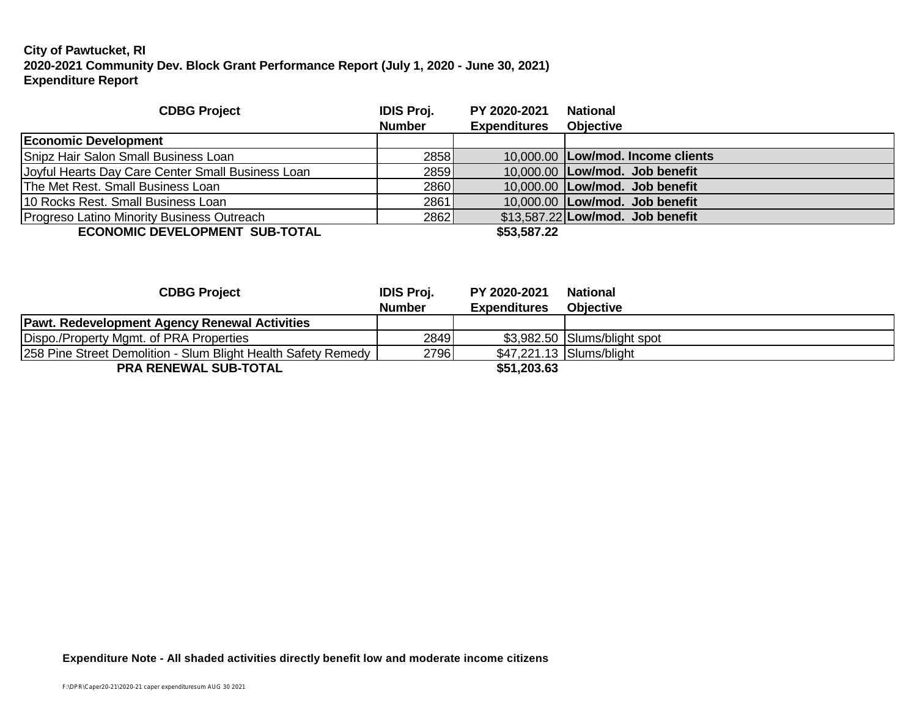### **City of Pawtucket, RI 2020-2021 Community Dev. Block Grant Performance Report (July 1, 2020 - June 30, 2021) Expenditure Report**

| <b>CDBG Project</b>                               | <b>IDIS Proj.</b><br><b>Number</b> | PY 2020-2021<br><b>Expenditures</b> | <b>National</b><br><b>Objective</b> |
|---------------------------------------------------|------------------------------------|-------------------------------------|-------------------------------------|
|                                                   |                                    |                                     |                                     |
| <b>Economic Development</b>                       |                                    |                                     |                                     |
| Snipz Hair Salon Small Business Loan              | 2858                               |                                     | 10,000.00   Low/mod. Income clients |
| Joyful Hearts Day Care Center Small Business Loan | 2859                               |                                     | 10,000.00   Low/mod. Job benefit    |
| The Met Rest. Small Business Loan                 | 2860                               |                                     | 10,000.00   Low/mod. Job benefit    |
| 10 Rocks Rest. Small Business Loan                | 2861                               |                                     | 10.000.00 Low/mod. Job benefit      |
| Progreso Latino Minority Business Outreach        | 2862                               |                                     | $$13,587.22$ Low/mod. Job benefit   |
| <b>ECONOMIC DEVELOPMENT SUB-TOTAL</b>             |                                    | \$53,587.22                         |                                     |

| <b>CDBG Project</b>                                           | <b>IDIS Proj.</b> | PY 2020-2021        | <b>National</b>              |
|---------------------------------------------------------------|-------------------|---------------------|------------------------------|
|                                                               | <b>Number</b>     | <b>Expenditures</b> | <b>Objective</b>             |
| <b>Pawt. Redevelopment Agency Renewal Activities</b>          |                   |                     |                              |
| Dispo./Property Mgmt. of PRA Properties                       | 2849              |                     | \$3,982.50 Slums/blight spot |
| 258 Pine Street Demolition - Slum Blight Health Safety Remedy | 2796              |                     | \$47,221.13 Slums/blight     |
| <b>PRA RENEWAL SUB-TOTAL</b>                                  |                   | \$51,203.63         |                              |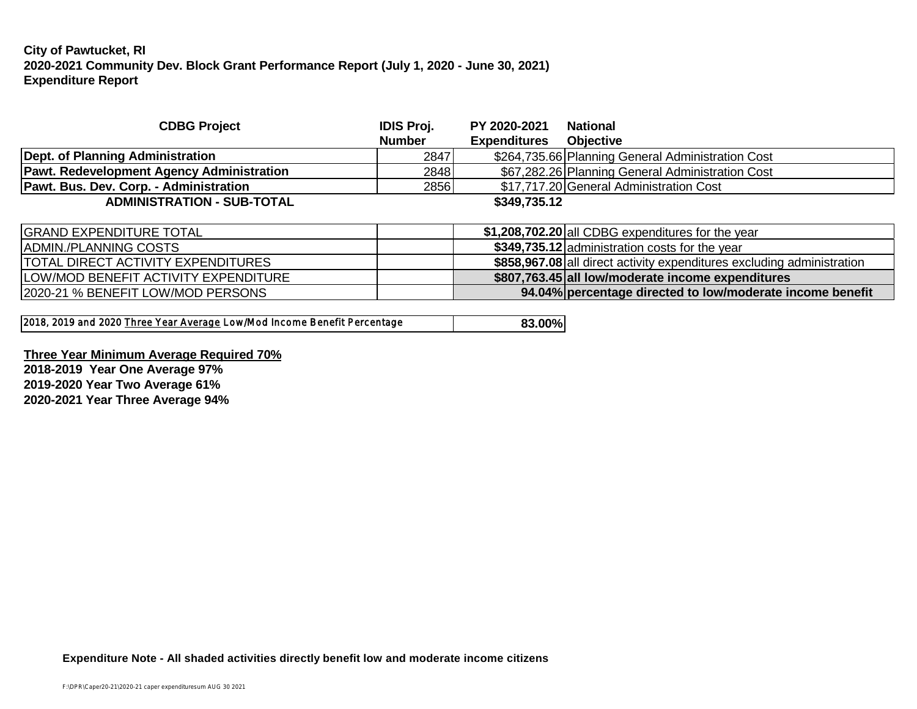#### **City of Pawtucket, RI 2020-2021 Community Dev. Block Grant Performance Report (July 1, 2020 - June 30, 2021) Expenditure Report**

| <b>Number</b> | <b>Expenditures</b> |                                                                  |
|---------------|---------------------|------------------------------------------------------------------|
|               |                     | <b>Objective</b>                                                 |
| 2847          |                     | \$264,735.66 Planning General Administration Cost                |
|               |                     | \$67,282.26 Planning General Administration Cost                 |
|               |                     | \$17,717.20 General Administration Cost                          |
|               |                     |                                                                  |
|               |                     | $A$ 000 700 00 $\omega$ CDDC $\omega$ is a discuss facilies over |
|               |                     | 2848<br>2856<br>\$349,735.12                                     |

| <b>GRAND EXPENDITURE TOTAL</b>               | \$1,208,702.20 all CDBG expenditures for the year                      |
|----------------------------------------------|------------------------------------------------------------------------|
| IADMIN./PLANNING COSTS                       | \$349,735.12 administration costs for the year                         |
| <b>ITOTAL DIRECT ACTIVITY EXPENDITURES</b>   | \$858,967.08 all direct activity expenditures excluding administration |
| <b>ILOW/MOD BENEFIT ACTIVITY EXPENDITURE</b> | \$807,763.45 all low/moderate income expenditures                      |
| 2020-21 % BENEFIT LOW/MOD PERSONS            | 94.04% percentage directed to low/moderate income benefit              |

**Three Year Minimum Average Required 70% 2018-2019 Year One Average 97% 2019-2020 Year Two Average 61% 2020-2021 Year Three Average 94%**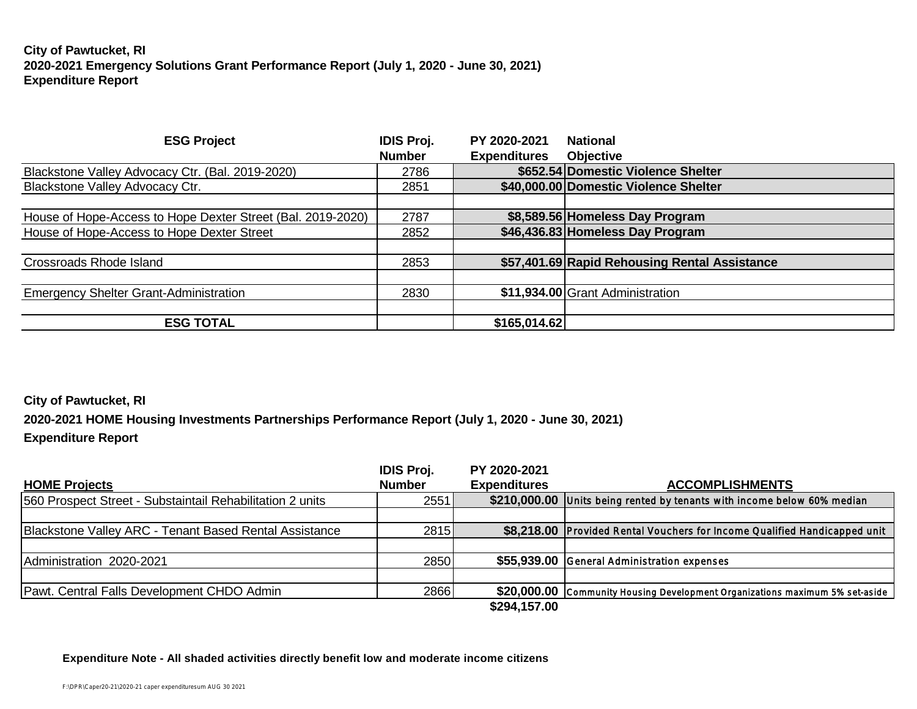### **City of Pawtucket, RI 2020-2021 Emergency Solutions Grant Performance Report (July 1, 2020 - June 30, 2021) Expenditure Report**

| <b>ESG Project</b>                                          | <b>IDIS Proj.</b> | PY 2020-2021        | <b>National</b>                               |
|-------------------------------------------------------------|-------------------|---------------------|-----------------------------------------------|
|                                                             | <b>Number</b>     | <b>Expenditures</b> | <b>Objective</b>                              |
| Blackstone Valley Advocacy Ctr. (Bal. 2019-2020)            | 2786              |                     | \$652.54 Domestic Violence Shelter            |
| <b>Blackstone Valley Advocacy Ctr.</b>                      | 2851              |                     | \$40,000.00 Domestic Violence Shelter         |
|                                                             |                   |                     |                                               |
| House of Hope-Access to Hope Dexter Street (Bal. 2019-2020) | 2787              |                     | \$8,589.56 Homeless Day Program               |
| House of Hope-Access to Hope Dexter Street                  | 2852              |                     | \$46,436.83 Homeless Day Program              |
|                                                             |                   |                     |                                               |
| <b>Crossroads Rhode Island</b>                              | 2853              |                     | \$57,401.69 Rapid Rehousing Rental Assistance |
|                                                             |                   |                     |                                               |
| <b>Emergency Shelter Grant-Administration</b>               | 2830              |                     | \$11,934.00 Grant Administration              |
|                                                             |                   |                     |                                               |
| <b>ESG TOTAL</b>                                            |                   | \$165,014.62        |                                               |

#### **City of Pawtucket, RI**

**2020-2021 HOME Housing Investments Partnerships Performance Report (July 1, 2020 - June 30, 2021)**

#### **Expenditure Report**

|                                                           | <b>IDIS Proj.</b> | PY 2020-2021        |                                                                              |
|-----------------------------------------------------------|-------------------|---------------------|------------------------------------------------------------------------------|
| <b>HOME Projects</b>                                      | <b>Number</b>     | <b>Expenditures</b> | <b>ACCOMPLISHMENTS</b>                                                       |
| 560 Prospect Street - Substaintail Rehabilitation 2 units | 2551              |                     | \$210,000.00 Units being rented by tenants with income below 60% median      |
|                                                           |                   |                     |                                                                              |
| Blackstone Valley ARC - Tenant Based Rental Assistance    | 2815              |                     | \$8,218.00 Provided Rental Vouchers for Income Qualified Handicapped unit    |
|                                                           |                   |                     |                                                                              |
| Administration 2020-2021                                  | 2850              |                     | \$55,939.00 General Administration expenses                                  |
|                                                           |                   |                     |                                                                              |
| Pawt. Central Falls Development CHDO Admin                | 2866              |                     | \$20,000.00 Community Housing Development Organizations maximum 5% set-aside |
|                                                           |                   | \$294,157.00        |                                                                              |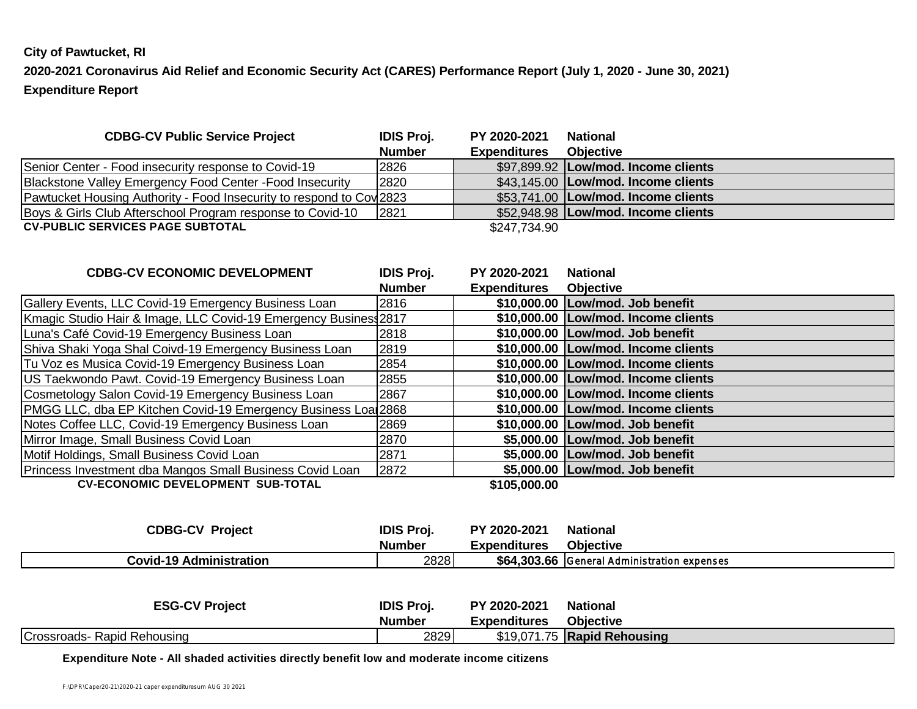#### **City of Pawtucket, RI**

**2020-2021 Coronavirus Aid Relief and Economic Security Act (CARES) Performance Report (July 1, 2020 - June 30, 2021) Expenditure Report**

| <b>CDBG-CV Public Service Project</b>                                | <b>IDIS Proj.</b> | PY 2020-2021        | National                              |
|----------------------------------------------------------------------|-------------------|---------------------|---------------------------------------|
|                                                                      | <b>Number</b>     | <b>Expenditures</b> | <b>Objective</b>                      |
| Senior Center - Food insecurity response to Covid-19                 | 2826              |                     | \$97,899.92   Low/mod. Income clients |
| Blackstone Valley Emergency Food Center - Food Insecurity            | 2820              |                     | \$43,145.00   Low/mod. Income clients |
| Pawtucket Housing Authority - Food Insecurity to respond to Cov 2823 |                   |                     | \$53,741.00   Low/mod. Income clients |
| Boys & Girls Club Afterschool Program response to Covid-10           | 2821              |                     | \$52,948.98   Low/mod. Income clients |
| <b>CV-PUBLIC SERVICES PAGE SUBTOTAL</b>                              |                   | \$247,734.90        |                                       |

| <b>CDBG-CV ECONOMIC DEVELOPMENT</b>                             | <b>IDIS Proj.</b> | PY 2020-2021        | <b>National</b>                     |
|-----------------------------------------------------------------|-------------------|---------------------|-------------------------------------|
|                                                                 | <b>Number</b>     | <b>Expenditures</b> | <b>Objective</b>                    |
| Gallery Events, LLC Covid-19 Emergency Business Loan            | 2816              |                     | \$10,000.00 Low/mod. Job benefit    |
| Kmagic Studio Hair & Image, LLC Covid-19 Emergency Busines 2817 |                   |                     | \$10,000.00 Low/mod. Income clients |
| Luna's Café Covid-19 Emergency Business Loan                    | 2818              |                     | \$10,000.00 Low/mod. Job benefit    |
| Shiva Shaki Yoga Shal Coivd-19 Emergency Business Loan          | 2819              |                     | \$10,000.00 Low/mod. Income clients |
| Tu Voz es Musica Covid-19 Emergency Business Loan               | 2854              |                     | \$10,000.00 Low/mod. Income clients |
| US Taekwondo Pawt. Covid-19 Emergency Business Loan             | 2855              |                     | \$10,000.00 Low/mod. Income clients |
| Cosmetology Salon Covid-19 Emergency Business Loan              | 2867              |                     | \$10,000.00 Low/mod. Income clients |
| PMGG LLC, dba EP Kitchen Covid-19 Emergency Business Loa 2868   |                   |                     | \$10,000.00 Low/mod. Income clients |
| Notes Coffee LLC, Covid-19 Emergency Business Loan              | 2869              |                     | \$10,000.00 Low/mod. Job benefit    |
| Mirror Image, Small Business Covid Loan                         | 2870              |                     | \$5,000.00 Low/mod. Job benefit     |
| Motif Holdings, Small Business Covid Loan                       | 2871              |                     | \$5,000.00 Low/mod. Job benefit     |
| Princess Investment dba Mangos Small Business Covid Loan        | 2872              |                     | \$5,000.00 Low/mod. Job benefit     |
| <b>CV-ECONOMIC DEVELOPMENT SUB-TOTAL</b>                        |                   | \$105,000.00        |                                     |

**CDBG-CV Project IDIS Proj. PY 2020-2021 National Number Expenditures Objective Covid-19 Administration** 2828 **\$64,303.66** General Administration expenses

| <b>ESG-CV Project</b>       | <b>IDIS Proj.</b> | PY 2020-2021        | <b>National</b>             |
|-----------------------------|-------------------|---------------------|-----------------------------|
|                             | <b>Number</b>     | <b>Expenditures</b> | <b>Objective</b>            |
| Crossroads- Rapid Rehousing | 2829              |                     | \$19,071.75 Rapid Rehousing |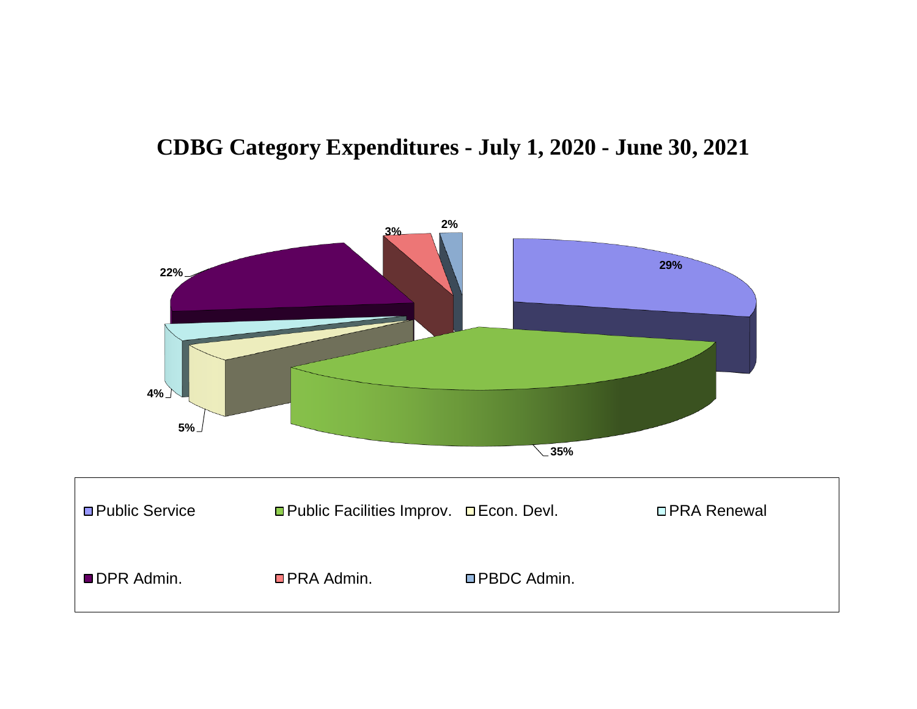## **CDBG Category Expenditures - July 1, 2020 - June 30, 2021**

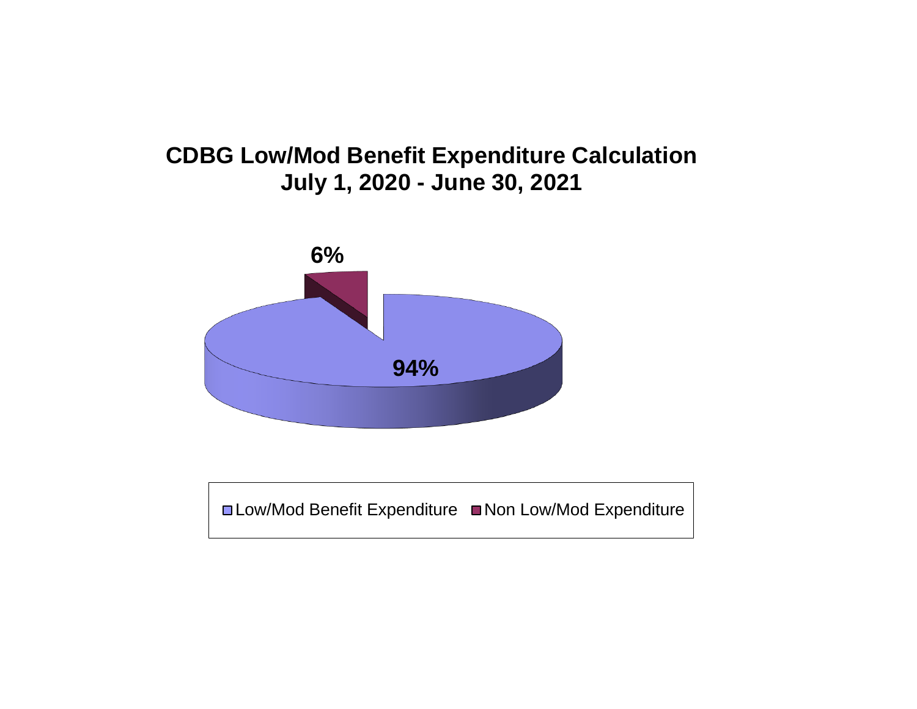## **CDBG Low/Mod Benefit Expenditure Calculation July 1, 2020 - June 30, 2021**



**■Low/Mod Benefit Expenditure ■Non Low/Mod Expenditure**